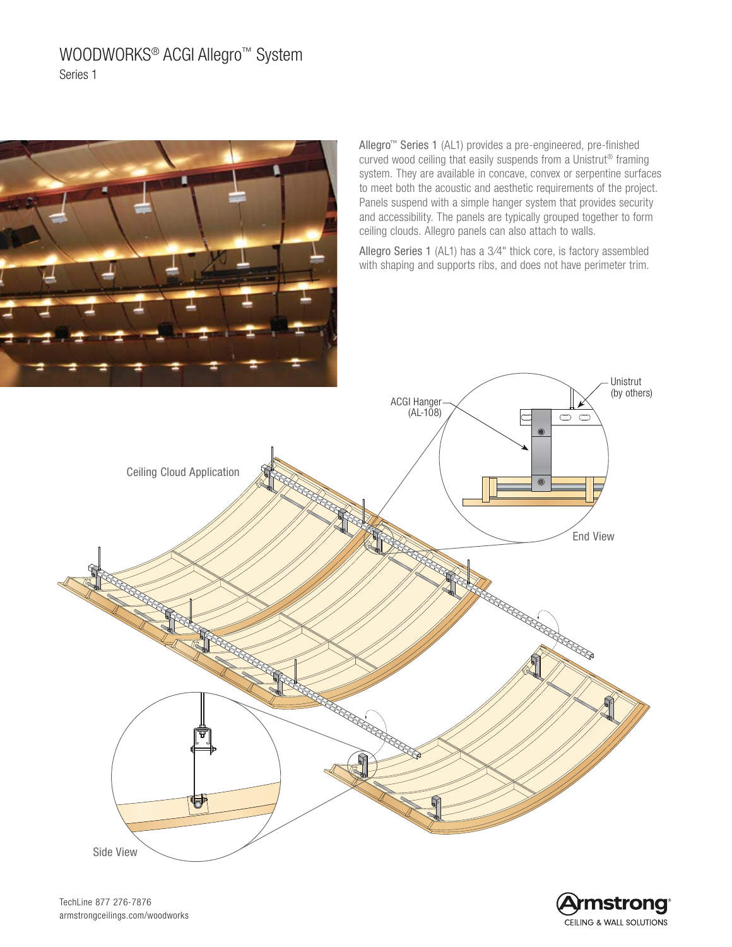# WOODWORKS® ACGI Allegro™ System Series 1



Allegro™ Series 1 (AL1) provides a pre-engineered, pre-finished curved wood ceiling that easily suspends from a Unistrut® framing system. They are available in concave, convex or serpentine surfaces to meet both the acoustic and aesthetic requirements of the project. Panels suspend with a simple hanger system that provides security and accessibility. The panels are typically grouped together to form ceiling clouds. Allegro panels can also attach to walls.

Allegro Series 1 (AL1) has a 3⁄4" thick core, is factory assembled with shaping and supports ribs, and does not have perimeter trim.